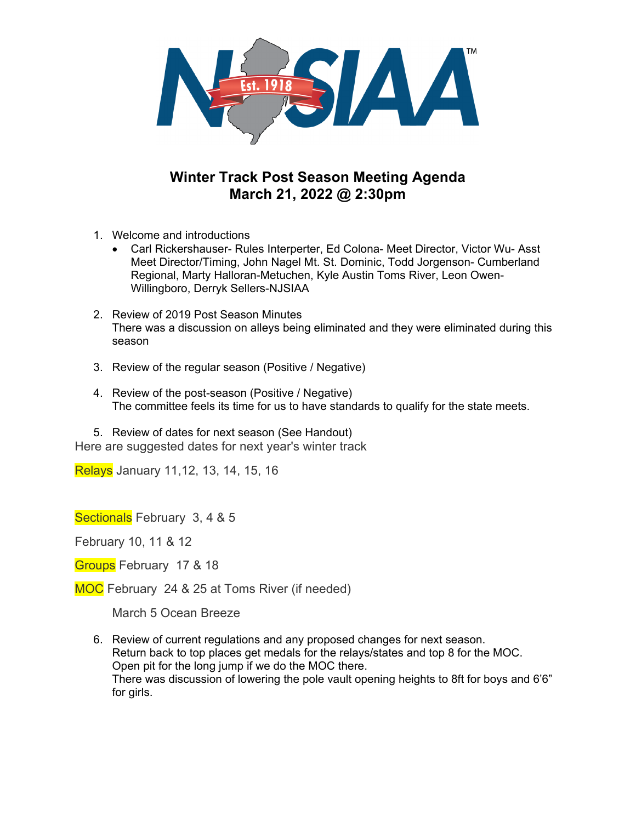

## **Winter Track Post Season Meeting Agenda March 21, 2022 @ 2:30pm**

- 1. Welcome and introductions
	- Carl Rickershauser- Rules Interperter, Ed Colona- Meet Director, Victor Wu- Asst Meet Director/Timing, John Nagel Mt. St. Dominic, Todd Jorgenson- Cumberland Regional, Marty Halloran-Metuchen, Kyle Austin Toms River, Leon Owen-Willingboro, Derryk Sellers-NJSIAA
- 2. Review of 2019 Post Season Minutes There was a discussion on alleys being eliminated and they were eliminated during this season
- 3. Review of the regular season (Positive / Negative)
- 4. Review of the post-season (Positive / Negative) The committee feels its time for us to have standards to qualify for the state meets.

5. Review of dates for next season (See Handout) Here are suggested dates for next year's winter track

Relays January 11,12, 13, 14, 15, 16

Sectionals February 3, 4 & 5

February 10, 11 & 12

Groups February 17 & 18

MOC February 24 & 25 at Toms River (if needed)

March 5 Ocean Breeze

6. Review of current regulations and any proposed changes for next season. Return back to top places get medals for the relays/states and top 8 for the MOC. Open pit for the long jump if we do the MOC there. There was discussion of lowering the pole vault opening heights to 8ft for boys and 6'6" for girls.